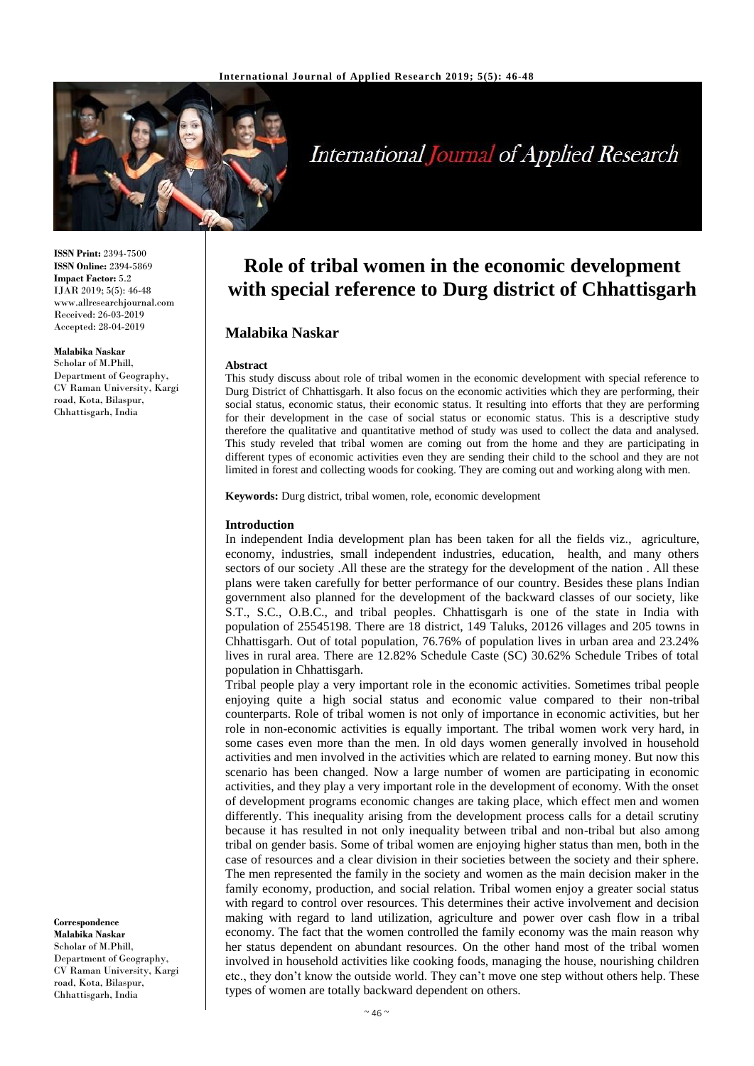

# **International Journal of Applied Research**

**ISSN Print:** 2394-7500 **ISSN Online:** 2394-5869 **Impact Factor:** 5.2 IJAR 2019; 5(5): 46-48 www.allresearchjournal.com Received: 26-03-2019 Accepted: 28-04-2019

#### **Malabika Naskar**

Scholar of M.Phill, Department of Geography, CV Raman University, Kargi road, Kota, Bilaspur, Chhattisgarh, India

**Correspondence Malabika Naskar** Scholar of M.Phill, Department of Geography, CV Raman University, Kargi road, Kota, Bilaspur, Chhattisgarh, India

## **Role of tribal women in the economic development with special reference to Durg district of Chhattisgarh**

### **Malabika Naskar**

#### **Abstract**

This study discuss about role of tribal women in the economic development with special reference to Durg District of Chhattisgarh. It also focus on the economic activities which they are performing, their social status, economic status, their economic status. It resulting into efforts that they are performing for their development in the case of social status or economic status. This is a descriptive study therefore the qualitative and quantitative method of study was used to collect the data and analysed. This study reveled that tribal women are coming out from the home and they are participating in different types of economic activities even they are sending their child to the school and they are not limited in forest and collecting woods for cooking. They are coming out and working along with men.

**Keywords:** Durg district, tribal women, role, economic development

#### **Introduction**

In independent India development plan has been taken for all the fields viz., agriculture, economy, industries, small independent industries, education, health, and many others sectors of our society .All these are the strategy for the development of the nation . All these plans were taken carefully for better performance of our country. Besides these plans Indian government also planned for the development of the backward classes of our society, like S.T., S.C., O.B.C., and tribal peoples. Chhattisgarh is one of the state in India with population of 25545198. There are 18 district, 149 Taluks, 20126 villages and 205 towns in Chhattisgarh. Out of total population, 76.76% of population lives in urban area and 23.24% lives in rural area. There are 12.82% Schedule Caste (SC) 30.62% Schedule Tribes of total population in Chhattisgarh.

Tribal people play a very important role in the economic activities. Sometimes tribal people enjoying quite a high social status and economic value compared to their non-tribal counterparts. Role of tribal women is not only of importance in economic activities, but her role in non-economic activities is equally important. The tribal women work very hard, in some cases even more than the men. In old days women generally involved in household activities and men involved in the activities which are related to earning money. But now this scenario has been changed. Now a large number of women are participating in economic activities, and they play a very important role in the development of economy. With the onset of development programs economic changes are taking place, which effect men and women differently. This inequality arising from the development process calls for a detail scrutiny because it has resulted in not only inequality between tribal and non-tribal but also among tribal on gender basis. Some of tribal women are enjoying higher status than men, both in the case of resources and a clear division in their societies between the society and their sphere. The men represented the family in the society and women as the main decision maker in the family economy, production, and social relation. Tribal women enjoy a greater social status with regard to control over resources. This determines their active involvement and decision making with regard to land utilization, agriculture and power over cash flow in a tribal economy. The fact that the women controlled the family economy was the main reason why her status dependent on abundant resources. On the other hand most of the tribal women involved in household activities like cooking foods, managing the house, nourishing children etc., they don't know the outside world. They can't move one step without others help. These types of women are totally backward dependent on others.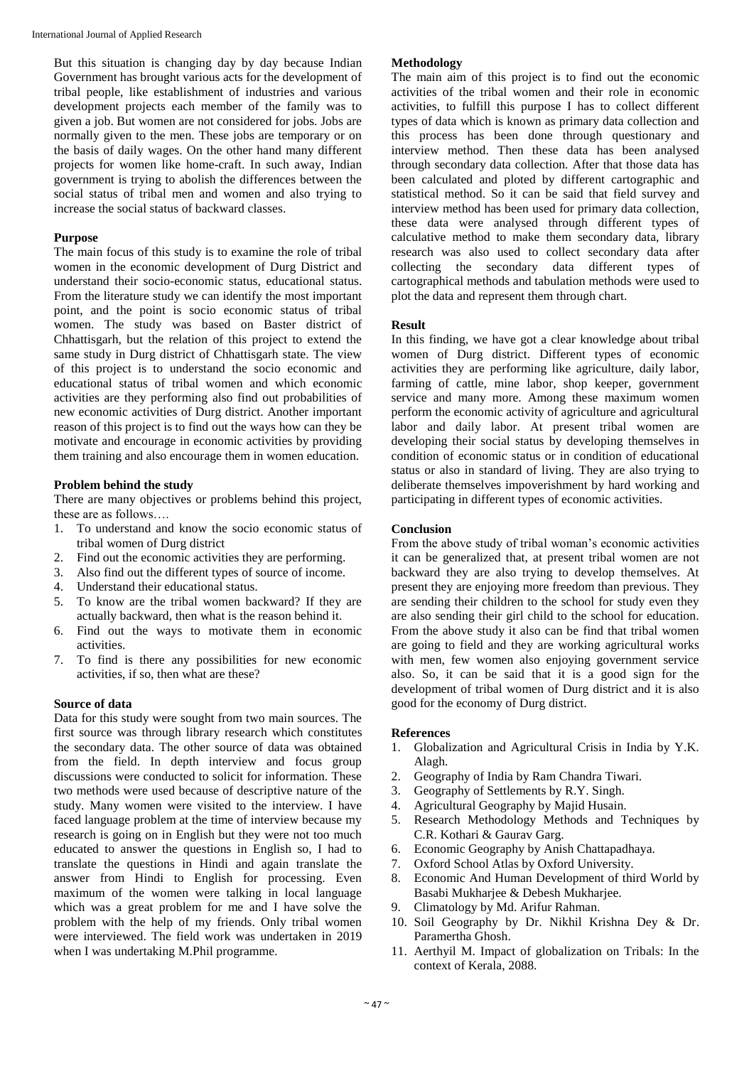International Journal of Applied Research

But this situation is changing day by day because Indian Government has brought various acts for the development of tribal people, like establishment of industries and various development projects each member of the family was to given a job. But women are not considered for jobs. Jobs are normally given to the men. These jobs are temporary or on the basis of daily wages. On the other hand many different projects for women like home-craft. In such away, Indian government is trying to abolish the differences between the social status of tribal men and women and also trying to increase the social status of backward classes.

#### **Purpose**

The main focus of this study is to examine the role of tribal women in the economic development of Durg District and understand their socio-economic status, educational status. From the literature study we can identify the most important point, and the point is socio economic status of tribal women. The study was based on Baster district of Chhattisgarh, but the relation of this project to extend the same study in Durg district of Chhattisgarh state. The view of this project is to understand the socio economic and educational status of tribal women and which economic activities are they performing also find out probabilities of new economic activities of Durg district. Another important reason of this project is to find out the ways how can they be motivate and encourage in economic activities by providing them training and also encourage them in women education.

#### **Problem behind the study**

There are many objectives or problems behind this project, these are as follows….

- 1. To understand and know the socio economic status of tribal women of Durg district
- 2. Find out the economic activities they are performing.
- 3. Also find out the different types of source of income.
- 4. Understand their educational status.
- 5. To know are the tribal women backward? If they are actually backward, then what is the reason behind it.
- 6. Find out the ways to motivate them in economic activities.
- 7. To find is there any possibilities for new economic activities, if so, then what are these?

#### **Source of data**

Data for this study were sought from two main sources. The first source was through library research which constitutes the secondary data. The other source of data was obtained from the field. In depth interview and focus group discussions were conducted to solicit for information. These two methods were used because of descriptive nature of the study. Many women were visited to the interview. I have faced language problem at the time of interview because my research is going on in English but they were not too much educated to answer the questions in English so, I had to translate the questions in Hindi and again translate the answer from Hindi to English for processing. Even maximum of the women were talking in local language which was a great problem for me and I have solve the problem with the help of my friends. Only tribal women were interviewed. The field work was undertaken in 2019 when I was undertaking M.Phil programme.

#### **Methodology**

The main aim of this project is to find out the economic activities of the tribal women and their role in economic activities, to fulfill this purpose I has to collect different types of data which is known as primary data collection and this process has been done through questionary and interview method. Then these data has been analysed through secondary data collection. After that those data has been calculated and ploted by different cartographic and statistical method. So it can be said that field survey and interview method has been used for primary data collection, these data were analysed through different types of calculative method to make them secondary data, library research was also used to collect secondary data after collecting the secondary data different types of cartographical methods and tabulation methods were used to plot the data and represent them through chart.

#### **Result**

In this finding, we have got a clear knowledge about tribal women of Durg district. Different types of economic activities they are performing like agriculture, daily labor, farming of cattle, mine labor, shop keeper, government service and many more. Among these maximum women perform the economic activity of agriculture and agricultural labor and daily labor. At present tribal women are developing their social status by developing themselves in condition of economic status or in condition of educational status or also in standard of living. They are also trying to deliberate themselves impoverishment by hard working and participating in different types of economic activities.

#### **Conclusion**

From the above study of tribal woman's economic activities it can be generalized that, at present tribal women are not backward they are also trying to develop themselves. At present they are enjoying more freedom than previous. They are sending their children to the school for study even they are also sending their girl child to the school for education. From the above study it also can be find that tribal women are going to field and they are working agricultural works with men, few women also enjoying government service also. So, it can be said that it is a good sign for the development of tribal women of Durg district and it is also good for the economy of Durg district.

#### **References**

- 1. Globalization and Agricultural Crisis in India by Y.K. Alagh.
- 2. Geography of India by Ram Chandra Tiwari.
- 3. Geography of Settlements by R.Y. Singh.
- 4. Agricultural Geography by Majid Husain.
- 5. Research Methodology Methods and Techniques by C.R. Kothari & Gaurav Garg.
- 6. Economic Geography by Anish Chattapadhaya.
- 7. Oxford School Atlas by Oxford University.
- 8. Economic And Human Development of third World by Basabi Mukharjee & Debesh Mukharjee.
- 9. Climatology by Md. Arifur Rahman.
- 10. Soil Geography by Dr. Nikhil Krishna Dey & Dr. Paramertha Ghosh.
- 11. Aerthyil M. Impact of globalization on Tribals: In the context of Kerala, 2088.